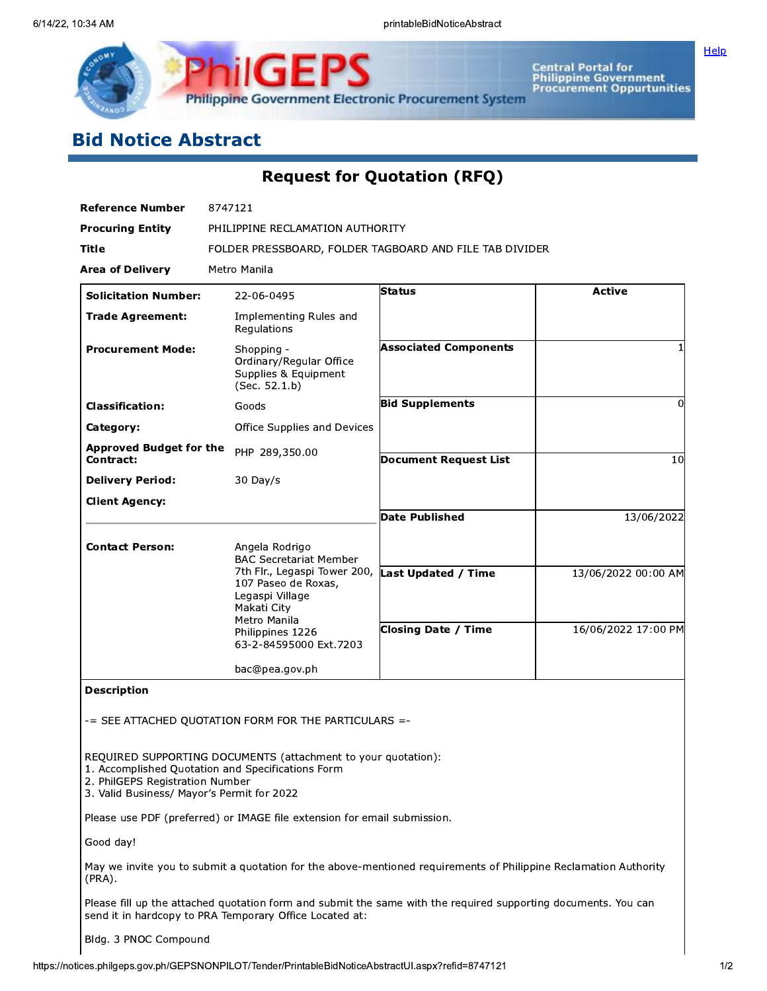

**Central Portal for<br>Philippine Government<br>Procurement Oppurtunities** 

Help

# **Bid Notice Abstract**

# **Request for Quotation (RFQ)**

| <b>Reference Number</b>                                                       | 8747121                                                                                                                                  |                              |                     |  |  |  |
|-------------------------------------------------------------------------------|------------------------------------------------------------------------------------------------------------------------------------------|------------------------------|---------------------|--|--|--|
| <b>Procuring Entity</b>                                                       | PHILIPPINE RECLAMATION AUTHORITY                                                                                                         |                              |                     |  |  |  |
| Title                                                                         | FOLDER PRESSBOARD, FOLDER TAGBOARD AND FILE TAB DIVIDER                                                                                  |                              |                     |  |  |  |
| <b>Area of Delivery</b>                                                       | Metro Manila                                                                                                                             |                              |                     |  |  |  |
| <b>Solicitation Number:</b>                                                   | 22-06-0495                                                                                                                               | Status                       | <b>Active</b>       |  |  |  |
| <b>Trade Agreement:</b>                                                       | Implementing Rules and<br>Regulations                                                                                                    |                              |                     |  |  |  |
| <b>Procurement Mode:</b>                                                      | Shopping -<br>Ordinary/Regular Office<br>Supplies & Equipment<br>(Sec. 52.1.b)                                                           | <b>Associated Components</b> |                     |  |  |  |
| <b>Classification:</b>                                                        | Goods                                                                                                                                    | <b>Bid Supplements</b>       | 0                   |  |  |  |
| Category:                                                                     | Office Supplies and Devices                                                                                                              |                              |                     |  |  |  |
| <b>Approved Budget for the</b><br>Contract:                                   | PHP 289,350.00                                                                                                                           | <b>Document Request List</b> | 10                  |  |  |  |
| <b>Delivery Period:</b>                                                       | $30$ Day/s                                                                                                                               |                              |                     |  |  |  |
| <b>Client Agency:</b>                                                         |                                                                                                                                          |                              |                     |  |  |  |
|                                                                               |                                                                                                                                          | <b>Date Published</b>        | 13/06/2022          |  |  |  |
| <b>Contact Person:</b>                                                        | Angela Rodrigo<br><b>BAC Secretariat Member</b><br>7th Flr., Legaspi Tower 200,<br>107 Paseo de Roxas,<br>Legaspi Village<br>Makati City | <b>Last Updated / Time</b>   | 13/06/2022 00:00 AM |  |  |  |
|                                                                               | Metro Manila<br>Philippines 1226<br>63-2-84595000 Ext.7203                                                                               | <b>Closing Date / Time</b>   | 16/06/2022 17:00 PM |  |  |  |
|                                                                               | bac@pea.gov.ph                                                                                                                           |                              |                     |  |  |  |
| <b>Description</b>                                                            |                                                                                                                                          |                              |                     |  |  |  |
|                                                                               | -= SEE ATTACHED QUOTATION FORM FOR THE PARTICULARS =-                                                                                    |                              |                     |  |  |  |
| 2. PhilGEPS Registration Number<br>3. Valid Business/ Mayor's Permit for 2022 | REQUIRED SUPPORTING DOCUMENTS (attachment to your quotation):<br>1. Accomplished Quotation and Specifications Form                       |                              |                     |  |  |  |
|                                                                               | Please use PDF (preferred) or IMAGE file extension for email submission.                                                                 |                              |                     |  |  |  |
| Good day!                                                                     |                                                                                                                                          |                              |                     |  |  |  |
| (PRA).                                                                        | May we invite you to submit a quotation for the above-mentioned requirements of Philippine Reclamation Authority                         |                              |                     |  |  |  |
|                                                                               |                                                                                                                                          |                              |                     |  |  |  |

Please fill up the attached quotation form and submit the same with the required supporting documents. You can send it in hardcopy to PRA Temporary Office Located at:

#### Bldg. 3 PNOC Compound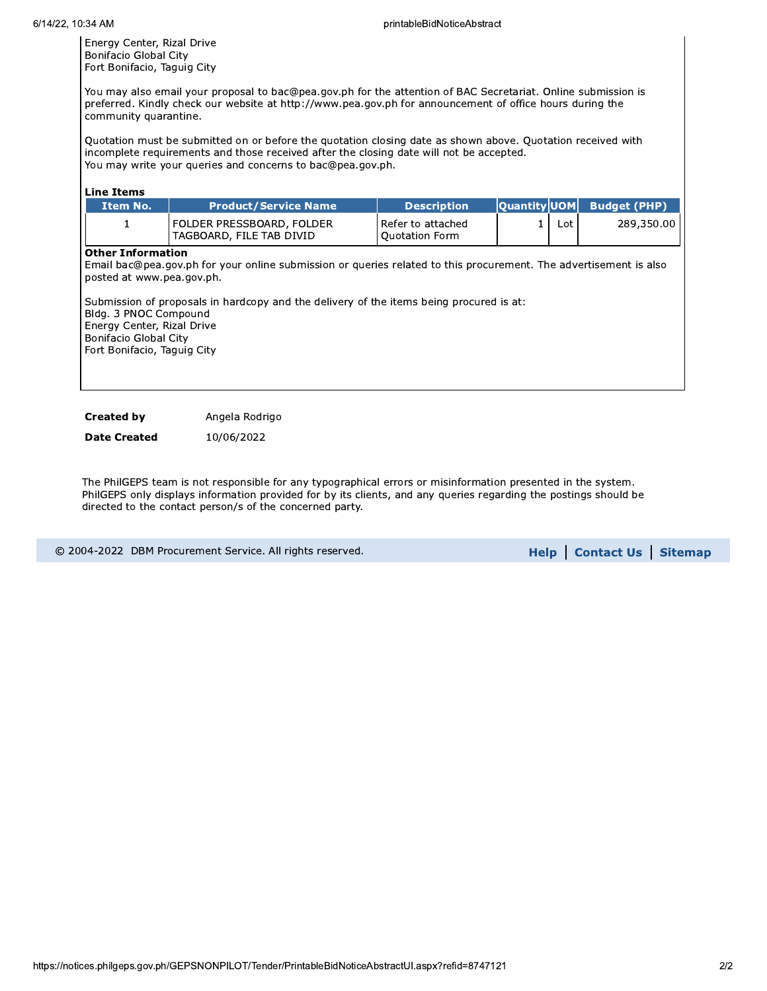Energy Center, Rizal Drive Bonifacio Global City Fort Bonifacio, Taguig City

You may also email your proposal to bac@pea.gov.ph for the attention of BAC Secretariat. Online submission is preferred. Kindly check our website at http://www.pea.gov.ph for announcement of office hours during the community quarantine.

Quotation must be submitted on or before the quotation closing date as shown above. Quotation received with incomplete requirements and those received after the closing date will not be accepted. You may write your queries and concerns to bac@pea.gov.ph.

#### Line Items

| Item No. | <b>Product/Service Name</b>                               | <b>N</b> Description                |     | $ $ Quantity $ $ UOM Budget (PHP) |
|----------|-----------------------------------------------------------|-------------------------------------|-----|-----------------------------------|
|          | l FOLDER PRESSBOARD. FOLDER<br>  TAGBOARD, FILE TAB DIVID | Refer to attached<br>Ouotation Form | ∟ot | 289,350,00                        |

#### Other Information

Email bac@pea.gov.ph for your online submission or queries related to this procurement. The advertisement is also posted at www.pea.gov.ph.

Submission of proposals in hardcopy and the delivery of the items being procured is at: Bldg. 3 PNOC Compound Energy Center, Rizal Drive Bonifacio Global City Fort Bonifacio, Taguig City

**Created by** Angela Rodrigo

**Date Created** 10/06/2022

The PhilGEPS team is not responsible for any typographical errors or misinformation presented in the system. PhilGEPS only displays information provided for by its clients, and any queries regarding the postings should be directed to the contact person/s of the concerned party.

© 2004-2022 DBM Procurement Service. All rights reserved. **Example: Service Help | Contact Us | Sitemap**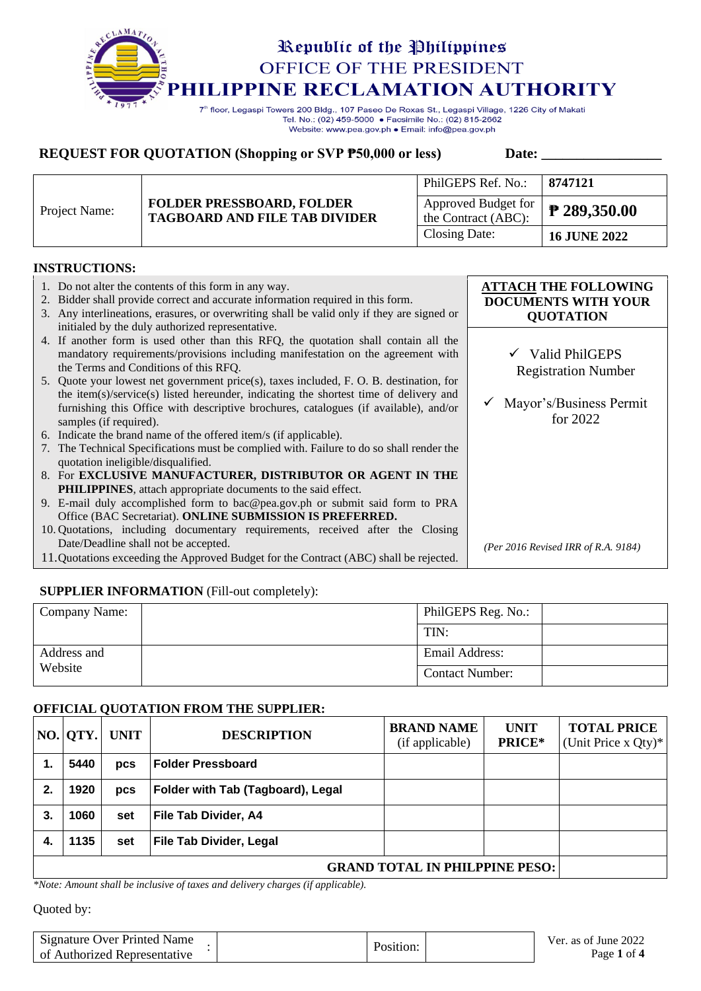

Tel. No.: (02) 459-5000 · Facsimile No.: (02) 815-2662 Website: www.pea.gov.ph . Email: info@pea.gov.ph

# **REQUEST FOR QUOTATION (Shopping or SVP**  $\overline{P}$ **50,000 or less)** Date: \_\_\_\_\_\_\_\_\_\_\_

|               |                                                                          | PhilGEPS Ref. No.:                         | 8747121      |
|---------------|--------------------------------------------------------------------------|--------------------------------------------|--------------|
| Project Name: | <b>FOLDER PRESSBOARD, FOLDER</b><br><b>TAGBOARD AND FILE TAB DIVIDER</b> | Approved Budget for<br>the Contract (ABC): | ₹ 289,350.00 |
|               |                                                                          | Closing Date:                              | 16 JUNE 2022 |

### **INSTRUCTIONS:**

| 1. Do not alter the contents of this form in any way.<br>2. Bidder shall provide correct and accurate information required in this form.<br>Any interlineations, erasures, or overwriting shall be valid only if they are signed or<br>3.<br>initialed by the duly authorized representative. | <b>ATTACH THE FOLLOWING</b><br><b>DOCUMENTS WITH YOUR</b><br><b>QUOTATION</b> |
|-----------------------------------------------------------------------------------------------------------------------------------------------------------------------------------------------------------------------------------------------------------------------------------------------|-------------------------------------------------------------------------------|
| 4. If another form is used other than this RFQ, the quotation shall contain all the<br>mandatory requirements/provisions including manifestation on the agreement with<br>the Terms and Conditions of this RFO.                                                                               | $\checkmark$ Valid PhilGEPS<br><b>Registration Number</b>                     |
| 5. Quote your lowest net government price(s), taxes included, F. O. B. destination, for                                                                                                                                                                                                       |                                                                               |
| the item(s)/service(s) listed hereunder, indicating the shortest time of delivery and<br>furnishing this Office with descriptive brochures, catalogues (if available), and/or<br>samples (if required).                                                                                       | Mayor's/Business Permit<br>for $2022$                                         |
| Indicate the brand name of the offered item/s (if applicable).<br>6.                                                                                                                                                                                                                          |                                                                               |
| 7. The Technical Specifications must be complied with. Failure to do so shall render the<br>quotation ineligible/disqualified.                                                                                                                                                                |                                                                               |
| 8. For EXCLUSIVE MANUFACTURER, DISTRIBUTOR OR AGENT IN THE                                                                                                                                                                                                                                    |                                                                               |
| <b>PHILIPPINES</b> , attach appropriate documents to the said effect.                                                                                                                                                                                                                         |                                                                               |
| 9. E-mail duly accomplished form to bac@pea.gov.ph or submit said form to PRA                                                                                                                                                                                                                 |                                                                               |
| Office (BAC Secretariat). ONLINE SUBMISSION IS PREFERRED.                                                                                                                                                                                                                                     |                                                                               |
| 10. Quotations, including documentary requirements, received after the Closing                                                                                                                                                                                                                |                                                                               |
| Date/Deadline shall not be accepted.                                                                                                                                                                                                                                                          | (Per 2016 Revised IRR of R.A. 9184)                                           |
| 11. Quotations exceeding the Approved Budget for the Contract (ABC) shall be rejected.                                                                                                                                                                                                        |                                                                               |

### **SUPPLIER INFORMATION** (Fill-out completely):

| Company Name: | PhilGEPS Reg. No.:     |  |
|---------------|------------------------|--|
|               | TIN:                   |  |
| Address and   | Email Address:         |  |
| Website       | <b>Contact Number:</b> |  |

### **OFFICIAL QUOTATION FROM THE SUPPLIER:**

|                                         | NO.  QTY. | <b>UNIT</b> | <b>DESCRIPTION</b>                       | <b>BRAND NAME</b><br>(if applicable) | <b>UNIT</b><br>PRICE* | <b>TOTAL PRICE</b><br>(Unit Price x Qty)* |
|-----------------------------------------|-----------|-------------|------------------------------------------|--------------------------------------|-----------------------|-------------------------------------------|
|                                         | 5440      | <b>DCS</b>  | <b>Folder Pressboard</b>                 |                                      |                       |                                           |
| 2.                                      | 1920      | <b>DCS</b>  | <b>Folder with Tab (Tagboard), Legal</b> |                                      |                       |                                           |
| 3.                                      | 1060      | set         | <b>File Tab Divider, A4</b>              |                                      |                       |                                           |
| 4.                                      | 1135      | set         | <b>File Tab Divider, Legal</b>           |                                      |                       |                                           |
| <b>GRAND TOTAL IN PHILPPINE PESO:  </b> |           |             |                                          |                                      |                       |                                           |

*\*Note: Amount shall be inclusive of taxes and delivery charges (if applicable).*

| Signature Over Printed Name  | Position: | Ver. as of June 2022 |
|------------------------------|-----------|----------------------|
| of Authorized Representative |           | Page 1 of 4          |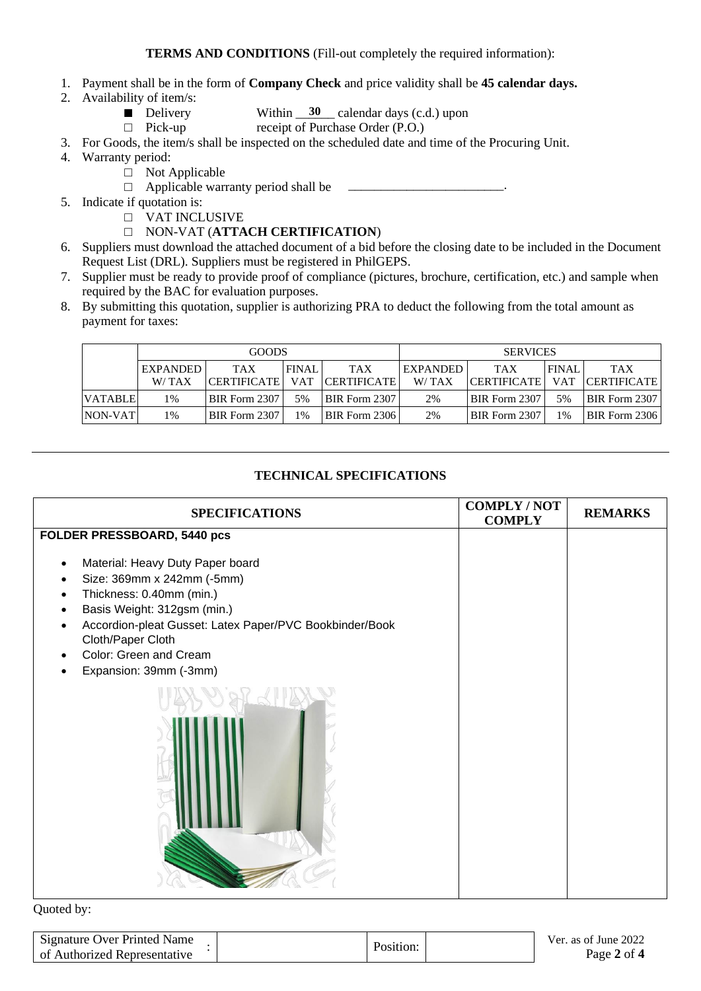- 1. Payment shall be in the form of **Company Check** and price validity shall be **45 calendar days.**
- 2. Availability of item/s:
	- Delivery Within  $\frac{30}{20}$  calendar days (c.d.) upon
	- □ Pick-up receipt of Purchase Order (P.O.)

3. For Goods, the item/s shall be inspected on the scheduled date and time of the Procuring Unit.

- 4. Warranty period:
	- □ Not Applicable
	- $\Box$  Applicable warranty period shall be
- 5. Indicate if quotation is:
	- □ VAT INCLUSIVE
	- □ NON-VAT (**ATTACH CERTIFICATION**)
- 6. Suppliers must download the attached document of a bid before the closing date to be included in the Document Request List (DRL). Suppliers must be registered in PhilGEPS.
- 7. Supplier must be ready to provide proof of compliance (pictures, brochure, certification, etc.) and sample when required by the BAC for evaluation purposes.
- 8. By submitting this quotation, supplier is authorizing PRA to deduct the following from the total amount as payment for taxes:

|                | <b>GOODS</b>    |                      |              |               | <b>SERVICES</b> |                    |              |                      |
|----------------|-----------------|----------------------|--------------|---------------|-----------------|--------------------|--------------|----------------------|
|                | <b>EXPANDED</b> | <b>TAX</b>           | <b>FINAL</b> | <b>TAX</b>    | <b>EXPANDED</b> | <b>TAX</b>         | <b>FINAL</b> | <b>TAX</b>           |
|                | W/TAX           | <b>CERTIFICATE</b>   | . VAT        | CERTIFICATE   | W/TAX           | <b>CERTIFICATE</b> |              | VAT CERTIFICATE      |
| <b>VATABLE</b> | 1%              | BIR Form 2307        | 5%           | BIR Form 2307 | 2%              | BIR Form 2307      | 5%           | <b>BIR Form 2307</b> |
| NON-VAT        | 1%              | <b>BIR Form 2307</b> | 1%           | BIR Form 2306 | 2%              | BIR Form 2307      | 1%           | <b>BIR Form 2306</b> |

# **TECHNICAL SPECIFICATIONS**

| <b>SPECIFICATIONS</b>                                                                                                                                                                                                                                         | <b>COMPLY/NOT</b><br><b>COMPLY</b> | <b>REMARKS</b> |
|---------------------------------------------------------------------------------------------------------------------------------------------------------------------------------------------------------------------------------------------------------------|------------------------------------|----------------|
| FOLDER PRESSBOARD, 5440 pcs                                                                                                                                                                                                                                   |                                    |                |
| Material: Heavy Duty Paper board<br>Size: 369mm x 242mm (-5mm)<br>Thickness: 0.40mm (min.)<br>Basis Weight: 312gsm (min.)<br>Accordion-pleat Gusset: Latex Paper/PVC Bookbinder/Book<br>Cloth/Paper Cloth<br>Color: Green and Cream<br>Expansion: 39mm (-3mm) |                                    |                |

| Signature Over Printed Name  | Position: | Ver. as of June 2022 |
|------------------------------|-----------|----------------------|
| of Authorized Representative |           | Page 2 of 4          |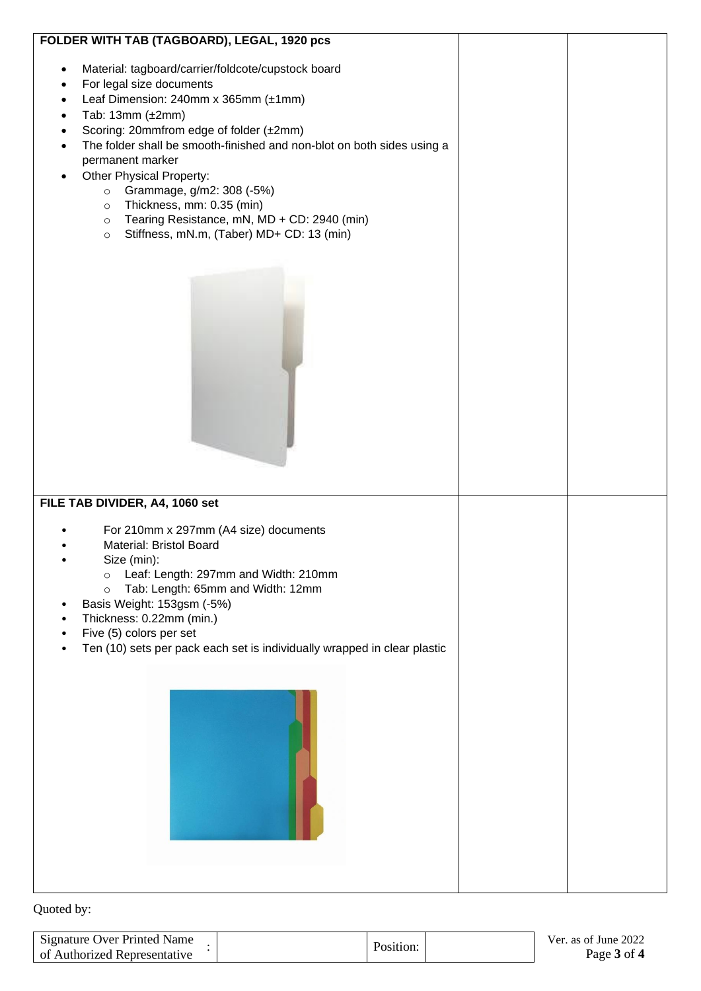| FOLDER WITH TAB (TAGBOARD), LEGAL, 1920 pcs                                                                                                                                                                                                                                                                                                                                                                                                                                                                                                       |  |
|---------------------------------------------------------------------------------------------------------------------------------------------------------------------------------------------------------------------------------------------------------------------------------------------------------------------------------------------------------------------------------------------------------------------------------------------------------------------------------------------------------------------------------------------------|--|
| Material: tagboard/carrier/foldcote/cupstock board<br>For legal size documents<br>Leaf Dimension: 240mm x 365mm (±1mm)<br>$\bullet$<br>Tab: 13mm $(\pm 2$ mm)<br>$\bullet$<br>Scoring: 20mmfrom edge of folder (±2mm)<br>The folder shall be smooth-finished and non-blot on both sides using a<br>permanent marker<br>Other Physical Property:<br>Grammage, g/m2: 308 (-5%)<br>$\circ$<br>Thickness, mm: 0.35 (min)<br>$\circ$<br>Tearing Resistance, mN, MD + CD: 2940 (min)<br>$\circ$<br>Stiffness, mN.m, (Taber) MD+ CD: 13 (min)<br>$\circ$ |  |
| FILE TAB DIVIDER, A4, 1060 set<br>For 210mm x 297mm (A4 size) documents<br>Material: Bristol Board<br>Size (min):<br>Leaf: Length: 297mm and Width: 210mm<br>$\circ$<br>Tab: Length: 65mm and Width: 12mm<br>$\circ$<br>Basis Weight: 153gsm (-5%)<br>Thickness: 0.22mm (min.)<br>Five (5) colors per set<br>Ten (10) sets per pack each set is individually wrapped in clear plastic                                                                                                                                                             |  |

| <b>Signature Over Printed Name</b> | Position. | Ver. as of June 2022 |
|------------------------------------|-----------|----------------------|
| of Authorized Representative       |           | Page 3 of 4          |